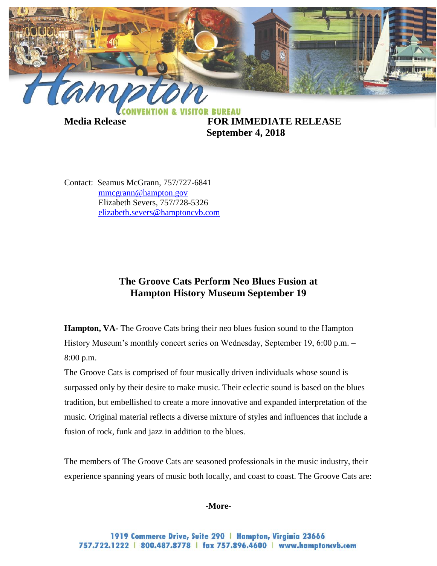

**Media Release <b>FOR IMMEDIATE RELEASE September 4, 2018**

Contact: Seamus McGrann, 757/727-6841 [mmcgrann@hampton.gov](mailto:mmcgrann@hampton.gov) Elizabeth Severs, 757/728-5326 [elizabeth.severs@hamptoncvb.com](mailto:elizabeth.severs@hamptoncvb.com)

# **The Groove Cats Perform Neo Blues Fusion at Hampton History Museum September 19**

**Hampton, VA-** The Groove Cats bring their neo blues fusion sound to the Hampton History Museum's monthly concert series on Wednesday, September 19, 6:00 p.m. – 8:00 p.m.

The Groove Cats is comprised of four musically driven individuals whose sound is surpassed only by their desire to make music. Their eclectic sound is based on the blues tradition, but embellished to create a more innovative and expanded interpretation of the music. Original material reflects a diverse mixture of styles and influences that include a fusion of rock, funk and jazz in addition to the blues.

The members of The Groove Cats are seasoned professionals in the music industry, their experience spanning years of music both locally, and coast to coast. The Groove Cats are:

## **-More-**

1919 Commerce Drive, Suite 290 | Hampton, Virginia 23666 757.722.1222 | 800.487.8778 | fax 757.896.4600 | www.hamptoncvb.com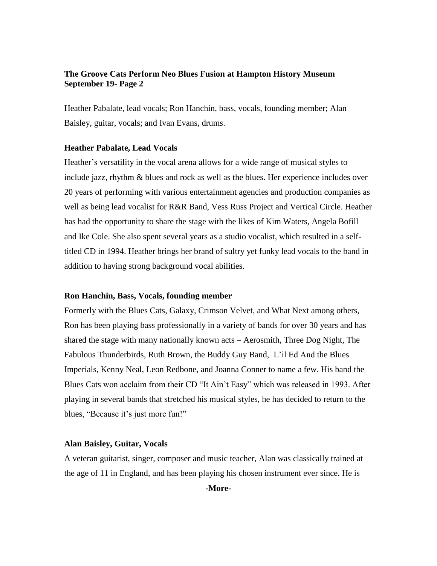## **The Groove Cats Perform Neo Blues Fusion at Hampton History Museum September 19- Page 2**

Heather Pabalate, lead vocals; Ron Hanchin, bass, vocals, founding member; Alan Baisley, guitar, vocals; and Ivan Evans, drums.

### **Heather Pabalate, Lead Vocals**

Heather's versatility in the vocal arena allows for a wide range of musical styles to include jazz, rhythm & blues and rock as well as the blues. Her experience includes over 20 years of performing with various entertainment agencies and production companies as well as being lead vocalist for R&R Band, Vess Russ Project and Vertical Circle. Heather has had the opportunity to share the stage with the likes of Kim Waters, Angela Bofill and Ike Cole. She also spent several years as a studio vocalist, which resulted in a selftitled CD in 1994. Heather brings her brand of sultry yet funky lead vocals to the band in addition to having strong background vocal abilities.

#### **Ron Hanchin, Bass, Vocals, founding member**

Formerly with the Blues Cats, Galaxy, Crimson Velvet, and What Next among others, Ron has been playing bass professionally in a variety of bands for over 30 years and has shared the stage with many nationally known acts – Aerosmith, Three Dog Night, The Fabulous Thunderbirds, Ruth Brown, the Buddy Guy Band, L'il Ed And the Blues Imperials, Kenny Neal, Leon Redbone, and Joanna Conner to name a few. His band the Blues Cats won acclaim from their CD "It Ain't Easy" which was released in 1993. After playing in several bands that stretched his musical styles, he has decided to return to the blues, "Because it's just more fun!"

#### **Alan Baisley, Guitar, Vocals**

A veteran guitarist, singer, composer and music teacher, Alan was classically trained at the age of 11 in England, and has been playing his chosen instrument ever since. He is

**-More-**